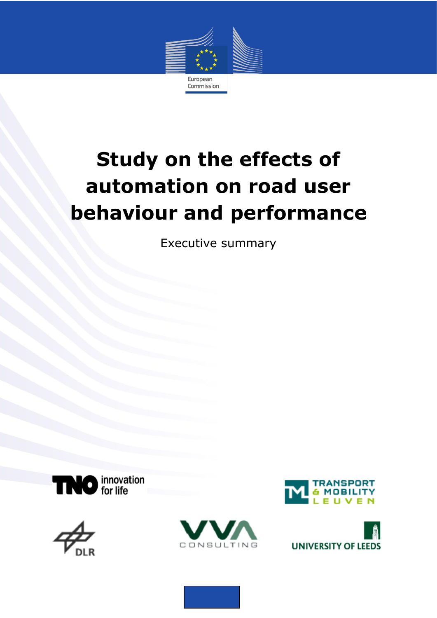

# **Study on the effects of automation on road user behaviour and performance**

Executive summary









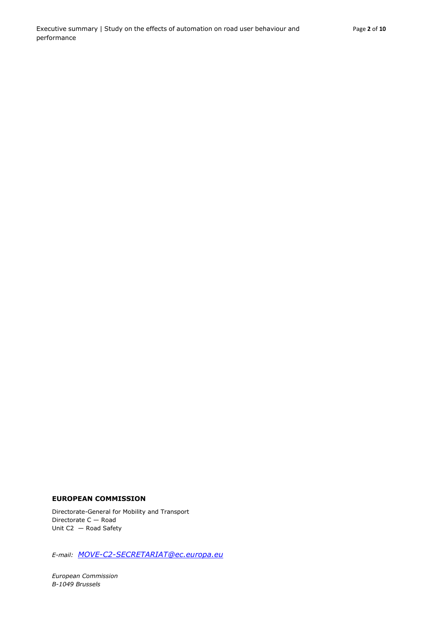#### **EUROPEAN COMMISSION**

Directorate-General for Mobility and Transport Directorate C — Road Unit C2 — Road Safety

*E-mail: [MOVE-C2-SECRETARIAT@ec.europa.eu](mailto:MOVE-C2-SECRETARIAT@ec.europa.eu)*

*European Commission B-1049 Brussels*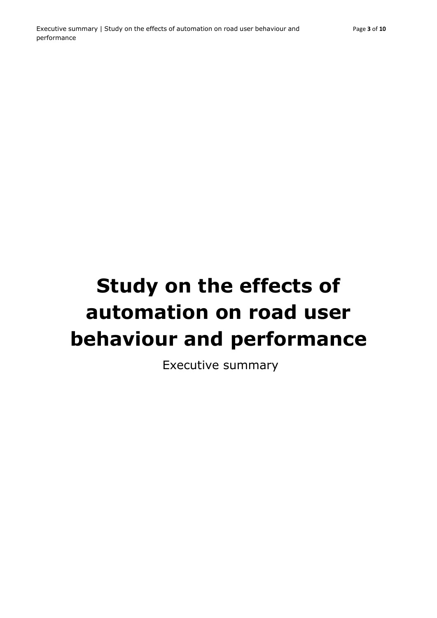# **Study on the effects of automation on road user behaviour and performance**

Executive summary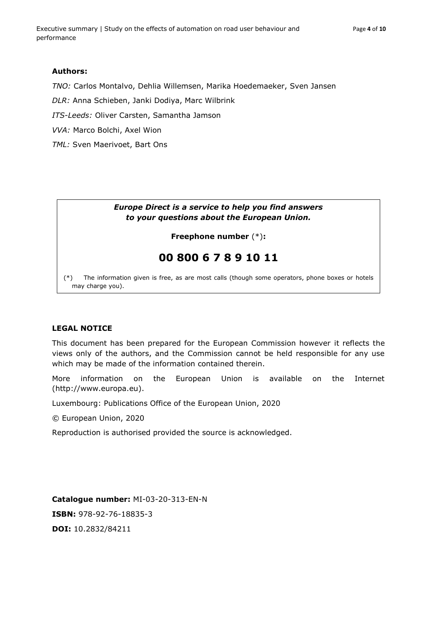*TNO:* Carlos Montalvo, Dehlia Willemsen, Marika Hoedemaeker, Sven Jansen

*DLR:* Anna Schieben, Janki Dodiya, Marc Wilbrink

*ITS-Leeds:* Oliver Carsten, Samantha Jamson

*VVA:* Marco Bolchi, Axel Wion

*TML:* Sven Maerivoet, Bart Ons

### *Europe Direct is a service to help you find answers to your questions about the European Union.*

# **Freephone number** (\*)**:**

# **00 800 6 7 8 9 10 11**

[\(\\*\)](http://europa.eu.int/citizensrights/signpost/about/index_en.htm#note1#note1) The information given is free, as are most calls (though some operators, phone boxes or hotels may charge you).

# **LEGAL NOTICE**

This document has been prepared for the European Commission however it reflects the views only of the authors, and the Commission cannot be held responsible for any use which may be made of the information contained therein.

More information on the European Union is available on the Internet (http://www.europa.eu).

Luxembourg: Publications Office of the European Union, 2020

© European Union, 2020

Reproduction is authorised provided the source is acknowledged.

**Catalogue number:** MI-03-20-313-EN-N **ISBN:** 978-92-76-18835-3 **DOI:** 10.2832/84211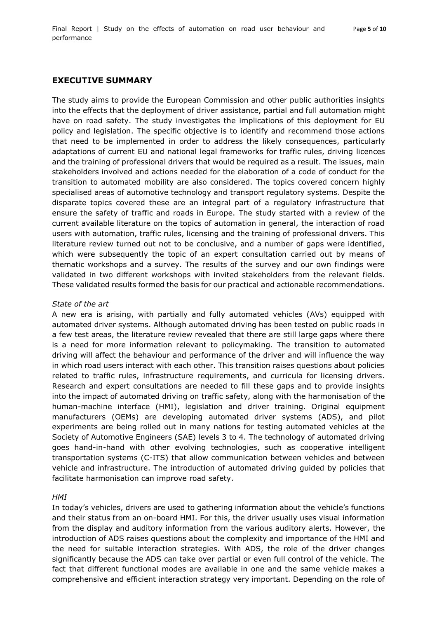# **EXECUTIVE SUMMARY**

The study aims to provide the European Commission and other public authorities insights into the effects that the deployment of driver assistance, partial and full automation might have on road safety. The study investigates the implications of this deployment for EU policy and legislation. The specific objective is to identify and recommend those actions that need to be implemented in order to address the likely consequences, particularly adaptations of current EU and national legal frameworks for traffic rules, driving licences and the training of professional drivers that would be required as a result. The issues, main stakeholders involved and actions needed for the elaboration of a code of conduct for the transition to automated mobility are also considered. The topics covered concern highly specialised areas of automotive technology and transport regulatory systems. Despite the disparate topics covered these are an integral part of a regulatory infrastructure that ensure the safety of traffic and roads in Europe. The study started with a review of the current available literature on the topics of automation in general, the interaction of road users with automation, traffic rules, licensing and the training of professional drivers. This literature review turned out not to be conclusive, and a number of gaps were identified, which were subsequently the topic of an expert consultation carried out by means of thematic workshops and a survey. The results of the survey and our own findings were validated in two different workshops with invited stakeholders from the relevant fields. These validated results formed the basis for our practical and actionable recommendations.

#### *State of the art*

A new era is arising, with partially and fully automated vehicles (AVs) equipped with automated driver systems. Although automated driving has been tested on public roads in a few test areas, the literature review revealed that there are still large gaps where there is a need for more information relevant to policymaking. The transition to automated driving will affect the behaviour and performance of the driver and will influence the way in which road users interact with each other. This transition raises questions about policies related to traffic rules, infrastructure requirements, and curricula for licensing drivers. Research and expert consultations are needed to fill these gaps and to provide insights into the impact of automated driving on traffic safety, along with the harmonisation of the human-machine interface (HMI), legislation and driver training. Original equipment manufacturers (OEMs) are developing automated driver systems (ADS), and pilot experiments are being rolled out in many nations for testing automated vehicles at the Society of Automotive Engineers (SAE) levels 3 to 4. The technology of automated driving goes hand-in-hand with other evolving technologies, such as cooperative intelligent transportation systems (C-ITS) that allow communication between vehicles and between vehicle and infrastructure. The introduction of automated driving guided by policies that facilitate harmonisation can improve road safety.

#### *HMI*

In today's vehicles, drivers are used to gathering information about the vehicle's functions and their status from an on-board HMI. For this, the driver usually uses visual information from the display and auditory information from the various auditory alerts. However, the introduction of ADS raises questions about the complexity and importance of the HMI and the need for suitable interaction strategies. With ADS, the role of the driver changes significantly because the ADS can take over partial or even full control of the vehicle. The fact that different functional modes are available in one and the same vehicle makes a comprehensive and efficient interaction strategy very important. Depending on the role of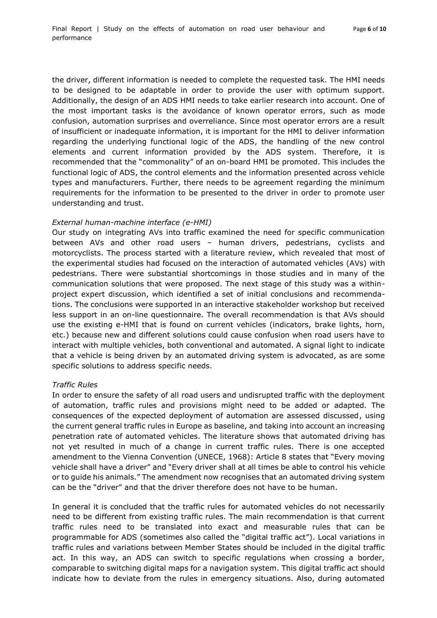the driver, different information is needed to complete the requested task. The HMI needs to be designed to be adaptable in order to provide the user with optimum support. Additionally, the design of an ADS HMI needs to take earlier research into account. One of the most important tasks is the avoidance of known operator errors, such as mode confusion, automation surprises and overreliance. Since most operator errors are a result of insufficient or inadequate information, it is important for the HMI to deliver information regarding the underlying functional logic of the ADS, the handling of the new control elements and current information provided by the ADS system. Therefore, it is recommended that the "commonality" of an on-board HMI be promoted. This includes the functional logic of ADS, the control elements and the information presented across vehicle types and manufacturers. Further, there needs to be agreement regarding the minimum requirements for the information to be presented to the driver in order to promote user understanding and trust.

#### *External human-machine interface (e-HMI)*

Our study on integrating AVs into traffic examined the need for specific communication between AVs and other road users – human drivers, pedestrians, cyclists and motorcyclists. The process started with a literature review, which revealed that most of the experimental studies had focused on the interaction of automated vehicles (AVs) with pedestrians. There were substantial shortcomings in those studies and in many of the communication solutions that were proposed. The next stage of this study was a withinproject expert discussion, which identified a set of initial conclusions and recommendations. The conclusions were supported in an interactive stakeholder workshop but received less support in an on-line questionnaire. The overall recommendation is that AVs should use the existing e-HMI that is found on current vehicles (indicators, brake lights, horn, etc.) because new and different solutions could cause confusion when road users have to interact with multiple vehicles, both conventional and automated. A signal light to indicate that a vehicle is being driven by an automated driving system is advocated, as are some specific solutions to address specific needs.

#### *Traffic Rules*

In order to ensure the safety of all road users and undisrupted traffic with the deployment of automation, traffic rules and provisions might need to be added or adapted. The consequences of the expected deployment of automation are assessed discussed, using the current general traffic rules in Europe as baseline, and taking into account an increasing penetration rate of automated vehicles. The literature shows that automated driving has not yet resulted in much of a change in current traffic rules. There is one accepted amendment to the Vienna Convention (UNECE, 1968): Article 8 states that "Every moving vehicle shall have a driver" and "Every driver shall at all times be able to control his vehicle or to guide his animals." The amendment now recognises that an automated driving system can be the "driver" and that the driver therefore does not have to be human.

In general it is concluded that the traffic rules for automated vehicles do not necessarily need to be different from existing traffic rules. The main recommendation is that current traffic rules need to be translated into exact and measurable rules that can be programmable for ADS (sometimes also called the "digital traffic act"). Local variations in traffic rules and variations between Member States should be included in the digital traffic act. In this way, an ADS can switch to specific regulations when crossing a border, comparable to switching digital maps for a navigation system. This digital traffic act should indicate how to deviate from the rules in emergency situations. Also, during automated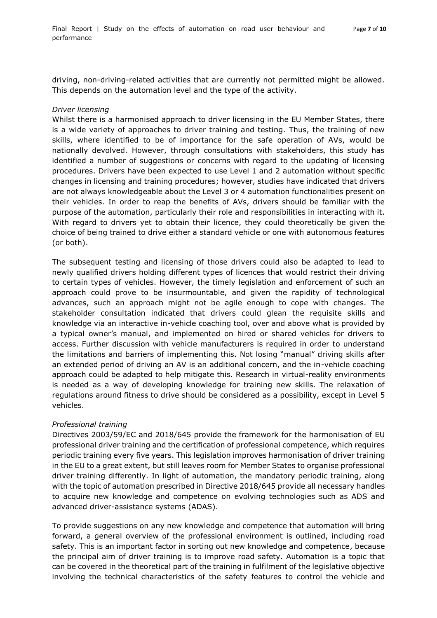driving, non-driving-related activities that are currently not permitted might be allowed. This depends on the automation level and the type of the activity.

#### *Driver licensing*

Whilst there is a harmonised approach to driver licensing in the EU Member States, there is a wide variety of approaches to driver training and testing. Thus, the training of new skills, where identified to be of importance for the safe operation of AVs, would be nationally devolved. However, through consultations with stakeholders, this study has identified a number of suggestions or concerns with regard to the updating of licensing procedures. Drivers have been expected to use Level 1 and 2 automation without specific changes in licensing and training procedures; however, studies have indicated that drivers are not always knowledgeable about the Level 3 or 4 automation functionalities present on their vehicles. In order to reap the benefits of AVs, drivers should be familiar with the purpose of the automation, particularly their role and responsibilities in interacting with it. With regard to drivers yet to obtain their licence, they could theoretically be given the choice of being trained to drive either a standard vehicle or one with autonomous features (or both).

The subsequent testing and licensing of those drivers could also be adapted to lead to newly qualified drivers holding different types of licences that would restrict their driving to certain types of vehicles. However, the timely legislation and enforcement of such an approach could prove to be insurmountable, and given the rapidity of technological advances, such an approach might not be agile enough to cope with changes. The stakeholder consultation indicated that drivers could glean the requisite skills and knowledge via an interactive in-vehicle coaching tool, over and above what is provided by a typical owner's manual, and implemented on hired or shared vehicles for drivers to access. Further discussion with vehicle manufacturers is required in order to understand the limitations and barriers of implementing this. Not losing "manual" driving skills after an extended period of driving an AV is an additional concern, and the in-vehicle coaching approach could be adapted to help mitigate this. Research in virtual-reality environments is needed as a way of developing knowledge for training new skills. The relaxation of regulations around fitness to drive should be considered as a possibility, except in Level 5 vehicles.

#### *Professional training*

Directives 2003/59/EC and 2018/645 provide the framework for the harmonisation of EU professional driver training and the certification of professional competence, which requires periodic training every five years. This legislation improves harmonisation of driver training in the EU to a great extent, but still leaves room for Member States to organise professional driver training differently. In light of automation, the mandatory periodic training, along with the topic of automation prescribed in Directive 2018/645 provide all necessary handles to acquire new knowledge and competence on evolving technologies such as ADS and advanced driver-assistance systems (ADAS).

To provide suggestions on any new knowledge and competence that automation will bring forward, a general overview of the professional environment is outlined, including road safety. This is an important factor in sorting out new knowledge and competence, because the principal aim of driver training is to improve road safety. Automation is a topic that can be covered in the theoretical part of the training in fulfilment of the legislative objective involving the technical characteristics of the safety features to control the vehicle and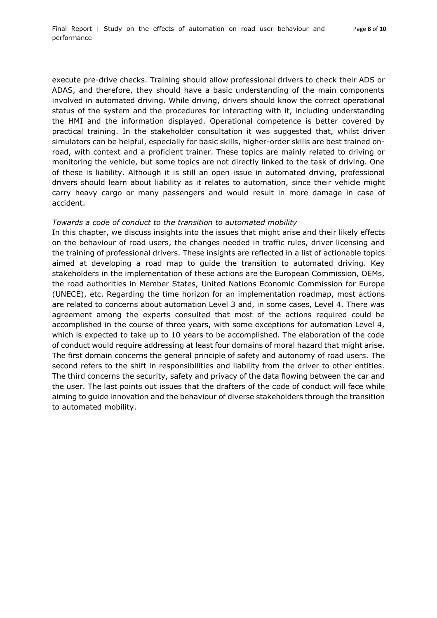execute pre-drive checks. Training should allow professional drivers to check their ADS or ADAS, and therefore, they should have a basic understanding of the main components involved in automated driving. While driving, drivers should know the correct operational status of the system and the procedures for interacting with it, including understanding the HMI and the information displayed. Operational competence is better covered by practical training. In the stakeholder consultation it was suggested that, whilst driver simulators can be helpful, especially for basic skills, higher-order skills are best trained onroad, with context and a proficient trainer. These topics are mainly related to driving or monitoring the vehicle, but some topics are not directly linked to the task of driving. One of these is liability. Although it is still an open issue in automated driving, professional drivers should learn about liability as it relates to automation, since their vehicle might carry heavy cargo or many passengers and would result in more damage in case of accident.

#### *Towards a code of conduct to the transition to automated mobility*

In this chapter, we discuss insights into the issues that might arise and their likely effects on the behaviour of road users, the changes needed in traffic rules, driver licensing and the training of professional drivers. These insights are reflected in a list of actionable topics aimed at developing a road map to guide the transition to automated driving. Key stakeholders in the implementation of these actions are the European Commission, OEMs, the road authorities in Member States, United Nations Economic Commission for Europe (UNECE), etc. Regarding the time horizon for an implementation roadmap, most actions are related to concerns about automation Level 3 and, in some cases, Level 4. There was agreement among the experts consulted that most of the actions required could be accomplished in the course of three years, with some exceptions for automation Level 4, which is expected to take up to 10 years to be accomplished. The elaboration of the code of conduct would require addressing at least four domains of moral hazard that might arise. The first domain concerns the general principle of safety and autonomy of road users. The second refers to the shift in responsibilities and liability from the driver to other entities. The third concerns the security, safety and privacy of the data flowing between the car and the user. The last points out issues that the drafters of the code of conduct will face while aiming to guide innovation and the behaviour of diverse stakeholders through the transition to automated mobility.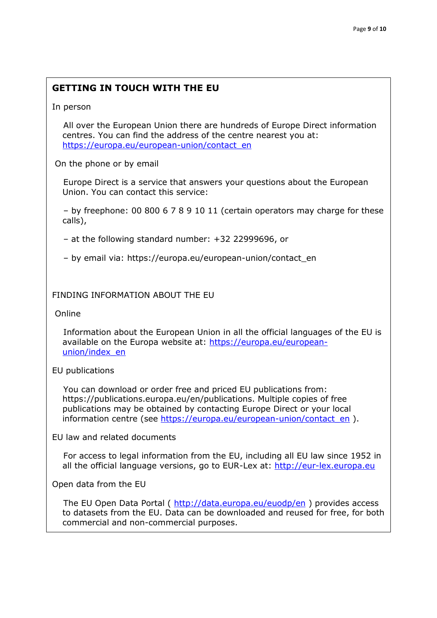# **GETTING IN TOUCH WITH THE EU**

In person

 All over the European Union there are hundreds of Europe Direct information centres. You can find the address of the centre nearest you at: [https://europa.eu/european-union/contact\\_en](https://europa.eu/european-union/contact_en)

On the phone or by email

 Europe Direct is a service that answers your questions about the European Union. You can contact this service:

 – by freephone: 00 800 6 7 8 9 10 11 (certain operators may charge for these calls),

– at the following standard number: +32 22999696, or

– by email via: https://europa.eu/european-union/contact\_en

# FINDING INFORMATION ABOUT THE EU

Online

 Information about the European Union in all the official languages of the EU is available on the Europa website at: [https://europa.eu/european](https://europa.eu/european-union/index_en)[union/index\\_en](https://europa.eu/european-union/index_en)

# EU publications

 You can download or order free and priced EU publications from: https://publications.europa.eu/en/publications. Multiple copies of free publications may be obtained by contacting Europe Direct or your local information centre (see [https://europa.eu/european-union/contact\\_en](https://europa.eu/european-union/contact_en) ).

EU law and related documents

 For access to legal information from the EU, including all EU law since 1952 in all the official language versions, go to EUR-Lex at: [http://eur-lex.europa.eu](http://eur-lex.europa.eu/)

Open data from the EU

The EU Open Data Portal (<http://data.europa.eu/euodp/en> ) provides access to datasets from the EU. Data can be downloaded and reused for free, for both commercial and non-commercial purposes.